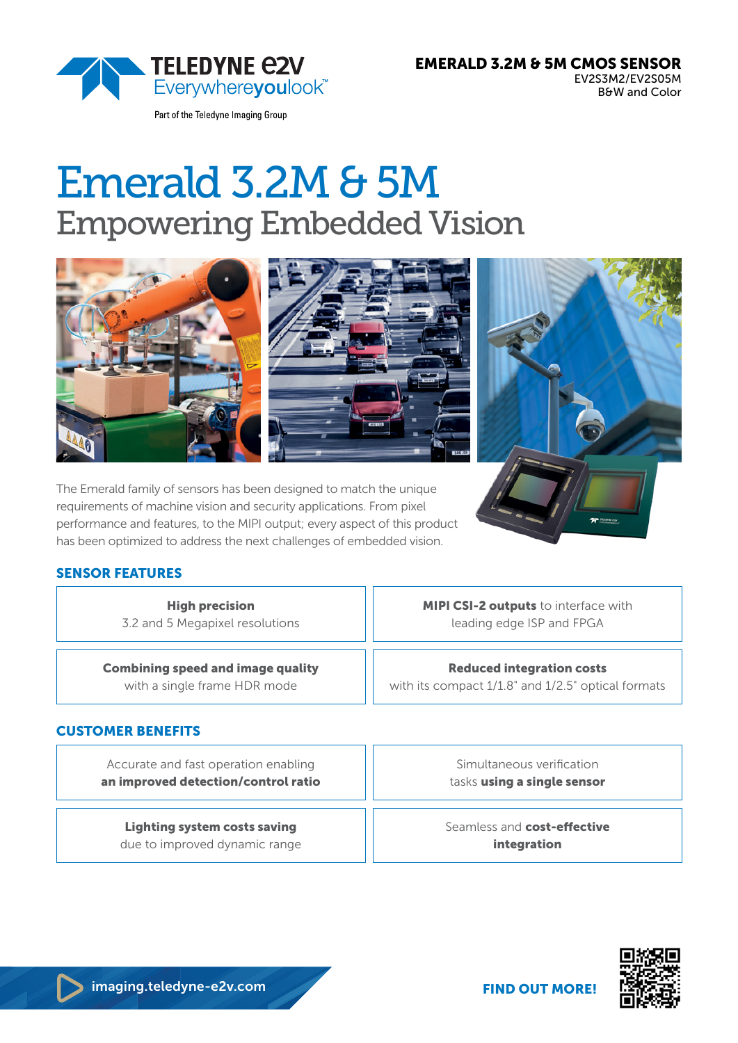

Part of the Teledyne Imaging Group

EMERALD 3.2M & 5M CMOS SENSOR EV2S3M2/EV2S05M

B&W and Color

# Emerald 3.2M & 5M Empowering Embedded Vision



The Emerald family of sensors has been designed to match the unique requirements of machine vision and security applications. From pixel performance and features, to the MIPI output; every aspect of this product has been optimized to address the next challenges of embedded vision.



# SENSOR FEATURES

High precision 3.2 and 5 Megapixel resolutions

Combining speed and image quality with a single frame HDR mode

**MIPI CSI-2 outputs** to interface with leading edge ISP and FPGA

Reduced integration costs with its compact 1/1.8" and 1/2.5" optical formats

# CUSTOMER BENEFITS

Accurate and fast operation enabling an improved detection/control ratio

Lighting system costs saving due to improved dynamic range

Simultaneous verification tasks using a single sensor

Seamless and **cost-effective** integration